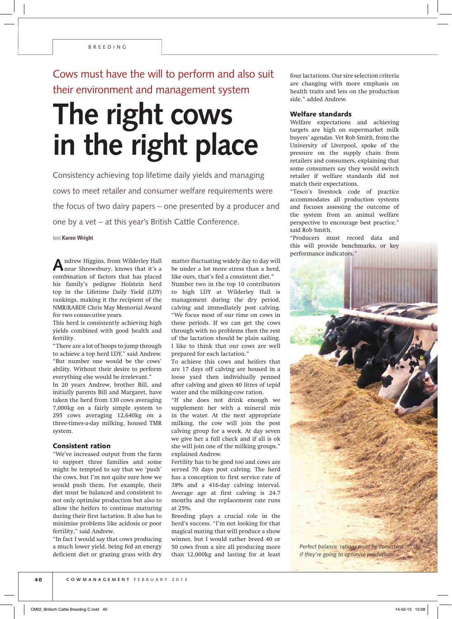Cows must have the will to perform and also suit their environment and management system

## **The right cows in the right place**

Consistency achieving top lifetime daily yields and managing cows to meet retailer and consumer welfare requirements were the focus of two dairy papers – one presented by a producer and one by a vet – at this year's British Cattle Conference.

text **Karen Wright**

**A**ndrew Higgins, from Wilderley Hall near Shrewsbury, knows that it's a combination of factors that has placed his family's pedigree Holstein herd top in the Lifetime Daily Yield (LDY) rankings, making it the recipient of the NMR/RABDF Chris May Memorial Award for two consecutive years.

This herd is consistently achieving high yields combined with good health and fertility.

"There are a lot of hoops to jump through to achieve a top herd LDY," said Andrew. "But number one would be the cows' ability. Without their desire to perform everything else would be irrelevant."

In 20 years Andrew, brother Bill, and initially parents Bill and Margaret, have taken the herd from 130 cows averaging 7,000kg on a fairly simple system to 295 cows averaging 12,640kg on a three-times-a-day milking, housed TMR system.

## Consistent ration

"We've increased output from the farm to support three families and some might be tempted to say that we 'push' the cows, but I'm not quite sure how we would push them. For example, their diet must be balanced and consistent to not only optimise production but also to allow the heifers to continue maturing during their first lactation. It also has to minimise problems like acidosis or poor fertility," said Andrew.

"In fact I would say that cows producing a much lower yield, being fed an energy deficient diet or grazing grass with dry matter fluctuating widely day to day will be under a lot more stress than a herd, like ours, that's fed a consistent diet." Number two in the top 10 contributors

to high LDY at Wilderley Hall is management during the dry period, calving and immediately post calving. "We focus most of our time on cows in these periods. If we can get the cows through with no problems then the rest of the lactation should be plain sailing. I like to think that our cows are well prepared for each lactation."

To achieve this cows and heifers that are 17 days off calving are housed in a loose yard then individually penned after calving and given 40 litres of tepid water and the milking-cow ration.

"If she does not drink enough we supplement her with a mineral mix in the water. At the next appropriate milking, the cow will join the post calving group for a week. At day seven we give her a full check and if all is ok she will join one of the milking groups," explained Andrew.

Fertility has to be good too and cows are served 70 days post calving. The herd has a conception to first service rate of 38% and a 416-day calving interval. Average age at first calving is 24.7 months and the replacement rate runs at 25%.

Breeding plays a crucial role in the herd's success. "I'm not looking for that magical mating that will produce a show winner, but I would rather breed 40 or 50 cows from a sire all producing more than 12,000kg and lasting for at least

four lactations. Our sire selection criteria are changing with more emphasis on health traits and less on the production side," added Andrew.

## Welfare standards

Welfare expectations and achieving targets are high on supermarket milk buyers' agendas. Vet Rob Smith, from the University of Liverpool, spoke of the pressure on the supply chain from retailers and consumers, explaining that some consumers say they would switch retailer if welfare standards did not match their expectations.

"Tesco's livestock code of practice accommodates all production systems and focuses assessing the outcome of the system from an animal welfare perspective to encourage best practice," said Rob Smith.

"Producers must record data and this will provide benchmarks, or key performance indicators."



*if they're going to optimise production*